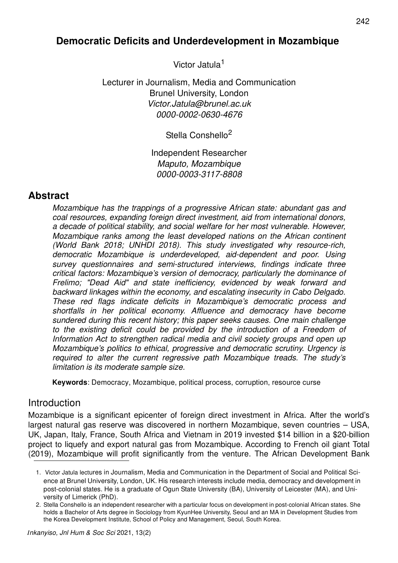# **Democratic Deficits and Underdevelopment in Mozambique**

Victor Jatula<sup>1</sup>

Lecturer in Journalism, Media and Communication Brunel University, London *Victor.Jatula@brunel.ac.uk 0000-0002-0630-4676*

Stella Conshello<sup>2</sup>

Independent Researcher *Maputo, Mozambique 0000-0003-3117-8808*

## **Abstract**

*Mozambique has the trappings of a progressive African state: abundant gas and coal resources, expanding foreign direct investment, aid from international donors, a decade of political stability, and social welfare for her most vulnerable. However, Mozambique ranks among the least developed nations on the African continent (World Bank 2018; UNHDI 2018). This study investigated why resource-rich, democratic Mozambique is underdeveloped, aid-dependent and poor. Using survey questionnaires and semi-structured interviews, findings indicate three critical factors: Mozambique's version of democracy, particularly the dominance of Frelimo; "Dead Aid" and state inefficiency, evidenced by weak forward and backward linkages within the economy, and escalating insecurity in Cabo Delgado. These red flags indicate deficits in Mozambique's democratic process and shortfalls in her political economy. Affluence and democracy have become sundered during this recent history; this paper seeks causes. One main challenge*  to the existing deficit could be provided by the introduction of a Freedom of *Information Act to strengthen radical media and civil society groups and open up Mozambique's politics to ethical, progressive and democratic scrutiny. Urgency is required to alter the current regressive path Mozambique treads. The study's limitation is its moderate sample size.*

**Keywords**: Democracy, Mozambique, political process, corruption, resource curse

### **Introduction**

Mozambique is a significant epicenter of foreign direct investment in Africa. After the world's largest natural gas reserve was discovered in northern Mozambique, seven countries – USA, UK, Japan, Italy, France, South Africa and Vietnam in 2019 invested \$14 billion in a \$20-billion project to liquefy and export natural gas from Mozambique. According to French oil giant Total (2019), Mozambique will profit significantly from the venture. The African Development Bank

<sup>1.</sup> Victor Jatula lectures in Journalism, Media and Communication in the Department of Social and Political Science at Brunel University, London, UK. His research interests include media, democracy and development in post-colonial states. He is a graduate of Ogun State University (BA), University of Leicester (MA), and University of Limerick (PhD).

<sup>2.</sup> Stella Conshello is an independent researcher with a particular focus on development in post-colonial African states. She holds a Bachelor of Arts degree in Sociology from KyunHee University, Seoul and an MA in Development Studies from the Korea Development Institute, School of Policy and Management, Seoul, South Korea.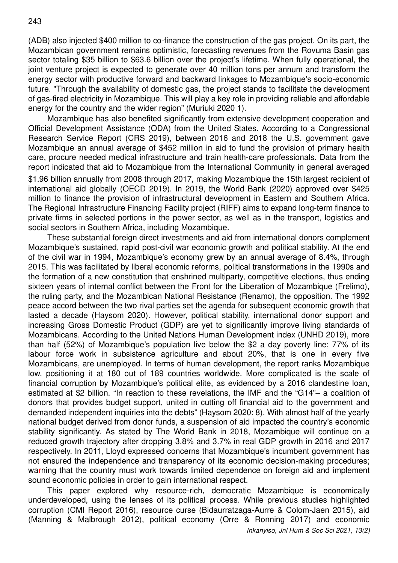(ADB) also injected \$400 million to co-finance the construction of the gas project. On its part, the Mozambican government remains optimistic, forecasting revenues from the Rovuma Basin gas sector totaling \$35 billion to \$63.6 billion over the project's lifetime. When fully operational, the joint venture project is expected to generate over 40 million tons per annum and transform the energy sector with productive forward and backward linkages to Mozambique's socio-economic future. "Through the availability of domestic gas, the project stands to facilitate the development of gas-fired electricity in Mozambique. This will play a key role in providing reliable and affordable energy for the country and the wider region" (Muriuki 2020 1).

Mozambique has also benefited significantly from extensive development cooperation and Official Development Assistance (ODA) from the United States. According to a Congressional Research Service Report (CRS 2019), between 2016 and 2018 the U.S. government gave Mozambique an annual average of \$452 million in aid to fund the provision of primary health care, procure needed medical infrastructure and train health-care professionals. Data from the report indicated that aid to Mozambique from the International Community in general averaged \$1.96 billion annually from 2008 through 2017, making Mozambique the 15th largest recipient of international aid globally (OECD 2019). In 2019, the World Bank (2020) approved over \$425 million to finance the provision of infrastructural development in Eastern and Southern Africa. The Regional Infrastructure Financing Facility project (RIFF) aims to expand long-term finance to private firms in selected portions in the power sector, as well as in the transport, logistics and social sectors in Southern Africa, including Mozambique.

These substantial foreign direct investments and aid from international donors complement Mozambique's sustained, rapid post-civil war economic growth and political stability. At the end of the civil war in 1994, Mozambique's economy grew by an annual average of 8.4%, through 2015. This was facilitated by liberal economic reforms, political transformations in the 1990s and the formation of a new constitution that enshrined multiparty, competitive elections, thus ending sixteen years of internal conflict between the Front for the Liberation of Mozambique (Frelimo), the ruling party, and the Mozambican National Resistance (Renamo), the opposition. The 1992 peace accord between the two rival parties set the agenda for subsequent economic growth that lasted a decade (Haysom 2020). However, political stability, international donor support and increasing Gross Domestic Product (GDP) are yet to significantly improve living standards of Mozambicans. According to the United Nations Human Development index (UNHD 2019), more than half (52%) of Mozambique's population live below the \$2 a day poverty line; 77% of its labour force work in subsistence agriculture and about 20%, that is one in every five Mozambicans, are unemployed. In terms of human development, the report ranks Mozambique low, positioning it at 180 out of 189 countries worldwide. More complicated is the scale of financial corruption by Mozambique's political elite, as evidenced by a 2016 clandestine loan, estimated at \$2 billion. "In reaction to these revelations, the IMF and the "G14"– a coalition of donors that provides budget support, united in cutting off financial aid to the government and demanded independent inquiries into the debts" (Haysom 2020: 8). With almost half of the yearly national budget derived from donor funds, a suspension of aid impacted the country's economic stability significantly. As stated by The World Bank in 2018, Mozambique will continue on a reduced growth trajectory after dropping 3.8% and 3.7% in real GDP growth in 2016 and 2017 respectively. In 2011, Lloyd expressed concerns that Mozambique's incumbent government has not ensured the independence and transparency of its economic decision-making procedures; warning that the country must work towards limited dependence on foreign aid and implement sound economic policies in order to gain international respect.

*Inkanyiso, Jnl Hum & Soc Sci 2021, 13(2)* This paper explored why resource-rich, democratic Mozambique is economically underdeveloped, using the lenses of its political process. While previous studies highlighted corruption (CMI Report 2016), resource curse (Bidaurratzaga-Aurre & Colom-Jaen 2015), aid (Manning & Malbrough 2012), political economy (Orre & Ronning 2017) and economic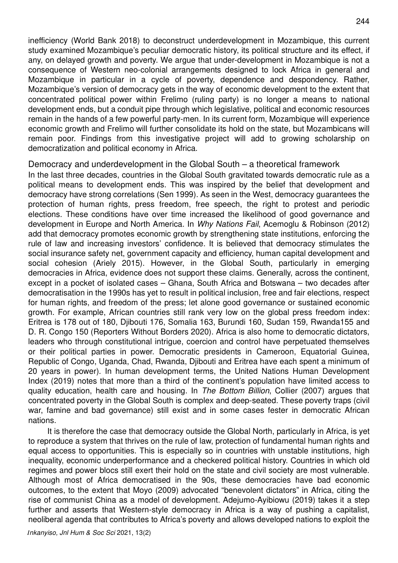inefficiency (World Bank 2018) to deconstruct underdevelopment in Mozambique, this current study examined Mozambique's peculiar democratic history, its political structure and its effect, if any, on delayed growth and poverty. We argue that under-development in Mozambique is not a consequence of Western neo-colonial arrangements designed to lock Africa in general and Mozambique in particular in a cycle of poverty, dependence and despondency. Rather, Mozambique's version of democracy gets in the way of economic development to the extent that concentrated political power within Frelimo (ruling party) is no longer a means to national development ends, but a conduit pipe through which legislative, political and economic resources remain in the hands of a few powerful party-men. In its current form, Mozambique will experience economic growth and Frelimo will further consolidate its hold on the state, but Mozambicans will remain poor. Findings from this investigative project will add to growing scholarship on democratization and political economy in Africa.

#### Democracy and underdevelopment in the Global South – a theoretical framework

In the last three decades, countries in the Global South gravitated towards democratic rule as a political means to development ends. This was inspired by the belief that development and democracy have strong correlations (Sen 1999). As seen in the West, democracy guarantees the protection of human rights, press freedom, free speech, the right to protest and periodic elections. These conditions have over time increased the likelihood of good governance and development in Europe and North America. In *Why Nations Fail*, Acemoglu & Robinson (2012) add that democracy promotes economic growth by strengthening state institutions, enforcing the rule of law and increasing investors' confidence. It is believed that democracy stimulates the social insurance safety net, government capacity and efficiency, human capital development and social cohesion (Ariely 2015). However, in the Global South, particularly in emerging democracies in Africa, evidence does not support these claims. Generally, across the continent, except in a pocket of isolated cases – Ghana, South Africa and Botswana – two decades after democratisation in the 1990s has yet to result in political inclusion, free and fair elections, respect for human rights, and freedom of the press; let alone good governance or sustained economic growth. For example, African countries still rank very low on the global press freedom index: Eritrea is 178 out of 180, Djibouti 176, Somalia 163, Burundi 160, Sudan 159, Rwanda155 and D. R. Congo 150 (Reporters Without Borders 2020). Africa is also home to democratic dictators, leaders who through constitutional intrigue, coercion and control have perpetuated themselves or their political parties in power. Democratic presidents in Cameroon, Equatorial Guinea, Republic of Congo, Uganda, Chad, Rwanda, Djibouti and Eritrea have each spent a minimum of 20 years in power). In human development terms, the United Nations Human Development Index (2019) notes that more than a third of the continent's population have limited access to quality education, health care and housing. In *The Bottom Billion*, Collier (2007) argues that concentrated poverty in the Global South is complex and deep-seated. These poverty traps (civil war, famine and bad governance) still exist and in some cases fester in democratic African nations.

It is therefore the case that democracy outside the Global North, particularly in Africa, is yet to reproduce a system that thrives on the rule of law, protection of fundamental human rights and equal access to opportunities. This is especially so in countries with unstable institutions, high inequality, economic underperformance and a checkered political history. Countries in which old regimes and power blocs still exert their hold on the state and civil society are most vulnerable. Although most of Africa democratised in the 90s, these democracies have bad economic outcomes, to the extent that Moyo (2009) advocated "benevolent dictators" in Africa, citing the rise of communist China as a model of development. Adejumo-Ayibiowu (2019) takes it a step further and asserts that Western-style democracy in Africa is a way of pushing a capitalist, neoliberal agenda that contributes to Africa's poverty and allows developed nations to exploit the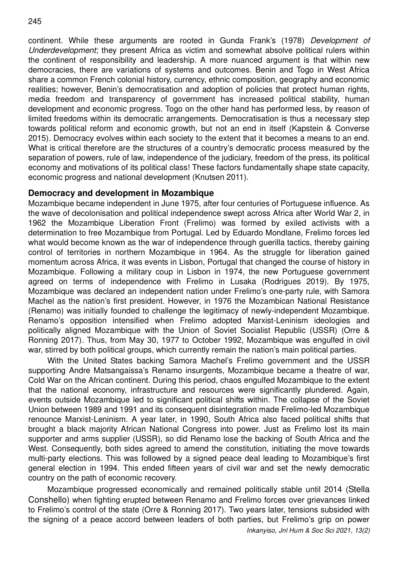continent. While these arguments are rooted in Gunda Frank's (1978) *Development of Underdevelopment*; they present Africa as victim and somewhat absolve political rulers within the continent of responsibility and leadership. A more nuanced argument is that within new democracies, there are variations of systems and outcomes. Benin and Togo in West Africa share a common French colonial history, currency, ethnic composition, geography and economic realities; however, Benin's democratisation and adoption of policies that protect human rights, media freedom and transparency of government has increased political stability, human development and economic progress. Togo on the other hand has performed less, by reason of limited freedoms within its democratic arrangements. Democratisation is thus a necessary step towards political reform and economic growth, but not an end in itself (Kapstein & Converse 2015). Democracy evolves within each society to the extent that it becomes a means to an end. What is critical therefore are the structures of a country's democratic process measured by the separation of powers, rule of law, independence of the judiciary, freedom of the press, its political economy and motivations of its political class! These factors fundamentally shape state capacity, economic progress and national development (Knutsen 2011).

#### **Democracy and development in Mozambique**

Mozambique became independent in June 1975, after four centuries of Portuguese influence. As the wave of decolonisation and political independence swept across Africa after World War 2, in 1962 the Mozambique Liberation Front (Frelimo) was formed by exiled activists with a determination to free Mozambique from Portugal. Led by Eduardo Mondlane, Frelimo forces led what would become known as the war of independence through guerilla tactics, thereby gaining control of territories in northern Mozambique in 1964. As the struggle for liberation gained momentum across Africa, it was events in Lisbon, Portugal that changed the course of history in Mozambique. Following a military coup in Lisbon in 1974, the new Portuguese government agreed on terms of independence with Frelimo in Lusaka (Rodrigues 2019). By 1975, Mozambique was declared an independent nation under Frelimo's one-party rule, with Samora Machel as the nation's first president. However, in 1976 the Mozambican National Resistance (Renamo) was initially founded to challenge the legitimacy of newly-independent Mozambique. Renamo's opposition intensified when Frelimo adopted Marxist-Leninism ideologies and politically aligned Mozambique with the Union of Soviet Socialist Republic (USSR) (Orre & Ronning 2017). Thus, from May 30, 1977 to October 1992, Mozambique was engulfed in civil war, stirred by both political groups, which currently remain the nation's main political parties.

With the United States backing Samora Machel's Frelimo government and the USSR supporting Andre Matsangaissa's Renamo insurgents, Mozambique became a theatre of war, Cold War on the African continent. During this period, chaos engulfed Mozambique to the extent that the national economy, infrastructure and resources were significantly plundered. Again, events outside Mozambique led to significant political shifts within. The collapse of the Soviet Union between 1989 and 1991 and its consequent disintegration made Frelimo-led Mozambique renounce Marxist-Leninism. A year later, in 1990, South Africa also faced political shifts that brought a black majority African National Congress into power. Just as Frelimo lost its main supporter and arms supplier (USSR), so did Renamo lose the backing of South Africa and the West. Consequently, both sides agreed to amend the constitution, initiating the move towards multi-party elections. This was followed by a signed peace deal leading to Mozambique's first general election in 1994. This ended fifteen years of civil war and set the newly democratic country on the path of economic recovery.

Mozambique progressed economically and remained politically stable until 2014 (Stella Conshello) when fighting erupted between Renamo and Frelimo forces over grievances linked to Frelimo's control of the state (Orre & Ronning 2017). Two years later, tensions subsided with the signing of a peace accord between leaders of both parties, but Frelimo's grip on power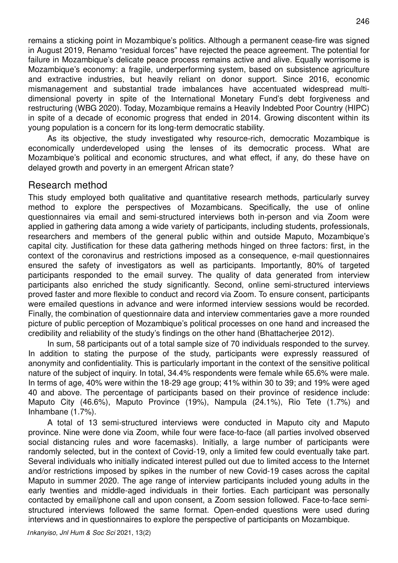remains a sticking point in Mozambique's politics. Although a permanent cease-fire was signed in August 2019, Renamo "residual forces" have rejected the peace agreement. The potential for failure in Mozambique's delicate peace process remains active and alive. Equally worrisome is Mozambique's economy: a fragile, underperforming system, based on subsistence agriculture and extractive industries, but heavily reliant on donor support. Since 2016, economic mismanagement and substantial trade imbalances have accentuated widespread multidimensional poverty in spite of the International Monetary Fund's debt forgiveness and restructuring (WBG 2020). Today, Mozambique remains a Heavily Indebted Poor Country (HIPC) in spite of a decade of economic progress that ended in 2014. Growing discontent within its young population is a concern for its long-term democratic stability.

As its objective, the study investigated why resource-rich, democratic Mozambique is economically underdeveloped using the lenses of its democratic process. What are Mozambique's political and economic structures, and what effect, if any, do these have on delayed growth and poverty in an emergent African state?

### Research method

This study employed both qualitative and quantitative research methods, particularly survey method to explore the perspectives of Mozambicans. Specifically, the use of online questionnaires via email and semi-structured interviews both in-person and via Zoom were applied in gathering data among a wide variety of participants, including students, professionals, researchers and members of the general public within and outside Maputo, Mozambique's capital city. Justification for these data gathering methods hinged on three factors: first, in the context of the coronavirus and restrictions imposed as a consequence, e-mail questionnaires ensured the safety of investigators as well as participants. Importantly, 80% of targeted participants responded to the email survey. The quality of data generated from interview participants also enriched the study significantly. Second, online semi-structured interviews proved faster and more flexible to conduct and record via Zoom. To ensure consent, participants were emailed questions in advance and were informed interview sessions would be recorded. Finally, the combination of questionnaire data and interview commentaries gave a more rounded picture of public perception of Mozambique's political processes on one hand and increased the credibility and reliability of the study's findings on the other hand (Bhattacherjee 2012).

In sum, 58 participants out of a total sample size of 70 individuals responded to the survey. In addition to stating the purpose of the study, participants were expressly reassured of anonymity and confidentiality. This is particularly important in the context of the sensitive political nature of the subject of inquiry. In total, 34.4% respondents were female while 65.6% were male. In terms of age, 40% were within the 18-29 age group; 41% within 30 to 39; and 19% were aged 40 and above. The percentage of participants based on their province of residence include: Maputo City (46.6%), Maputo Province (19%), Nampula (24.1%), Rio Tete (1.7%) and Inhambane (1.7%).

A total of 13 semi-structured interviews were conducted in Maputo city and Maputo province. Nine were done via Zoom, while four were face-to-face (all parties involved observed social distancing rules and wore facemasks). Initially, a large number of participants were randomly selected, but in the context of Covid-19, only a limited few could eventually take part. Several individuals who initially indicated interest pulled out due to limited access to the Internet and/or restrictions imposed by spikes in the number of new Covid-19 cases across the capital Maputo in summer 2020. The age range of interview participants included young adults in the early twenties and middle-aged individuals in their forties. Each participant was personally contacted by email/phone call and upon consent, a Zoom session followed. Face-to-face semistructured interviews followed the same format. Open-ended questions were used during interviews and in questionnaires to explore the perspective of participants on Mozambique.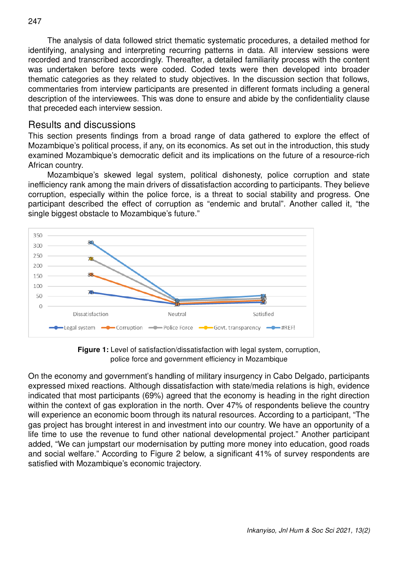The analysis of data followed strict thematic systematic procedures, a detailed method for identifying, analysing and interpreting recurring patterns in data. All interview sessions were recorded and transcribed accordingly. Thereafter, a detailed familiarity process with the content was undertaken before texts were coded. Coded texts were then developed into broader thematic categories as they related to study objectives. In the discussion section that follows, commentaries from interview participants are presented in different formats including a general description of the interviewees. This was done to ensure and abide by the confidentiality clause that preceded each interview session.

### Results and discussions

This section presents findings from a broad range of data gathered to explore the effect of Mozambique's political process, if any, on its economics. As set out in the introduction, this study examined Mozambique's democratic deficit and its implications on the future of a resource-rich African country.

Mozambique's skewed legal system, political dishonesty, police corruption and state inefficiency rank among the main drivers of dissatisfaction according to participants. They believe corruption, especially within the police force, is a threat to social stability and progress. One participant described the effect of corruption as "endemic and brutal". Another called it, "the single biggest obstacle to Mozambique's future."



**Figure 1:** Level of satisfaction/dissatisfaction with legal system, corruption, police force and government efficiency in Mozambique

On the economy and government's handling of military insurgency in Cabo Delgado, participants expressed mixed reactions. Although dissatisfaction with state/media relations is high, evidence indicated that most participants (69%) agreed that the economy is heading in the right direction within the context of gas exploration in the north. Over 47% of respondents believe the country will experience an economic boom through its natural resources. According to a participant, "The gas project has brought interest in and investment into our country. We have an opportunity of a life time to use the revenue to fund other national developmental project." Another participant added, "We can jumpstart our modernisation by putting more money into education, good roads and social welfare." According to Figure 2 below, a significant 41% of survey respondents are satisfied with Mozambique's economic trajectory.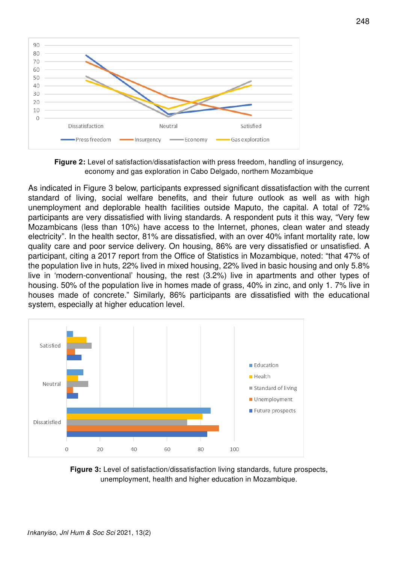

**Figure 2:** Level of satisfaction/dissatisfaction with press freedom, handling of insurgency, economy and gas exploration in Cabo Delgado, northern Mozambique

As indicated in Figure 3 below, participants expressed significant dissatisfaction with the current standard of living, social welfare benefits, and their future outlook as well as with high unemployment and deplorable health facilities outside Maputo, the capital. A total of 72% participants are very dissatisfied with living standards. A respondent puts it this way, "Very few Mozambicans (less than 10%) have access to the Internet, phones, clean water and steady electricity". In the health sector, 81% are dissatisfied, with an over 40% infant mortality rate, low quality care and poor service delivery. On housing, 86% are very dissatisfied or unsatisfied. A participant, citing a 2017 report from the Office of Statistics in Mozambique, noted: "that 47% of the population live in huts, 22% lived in mixed housing, 22% lived in basic housing and only 5.8% live in 'modern-conventional' housing, the rest (3.2%) live in apartments and other types of housing. 50% of the population live in homes made of grass, 40% in zinc, and only 1. 7% live in houses made of concrete." Similarly, 86% participants are dissatisfied with the educational system, especially at higher education level.



**Figure 3:** Level of satisfaction/dissatisfaction living standards, future prospects, unemployment, health and higher education in Mozambique.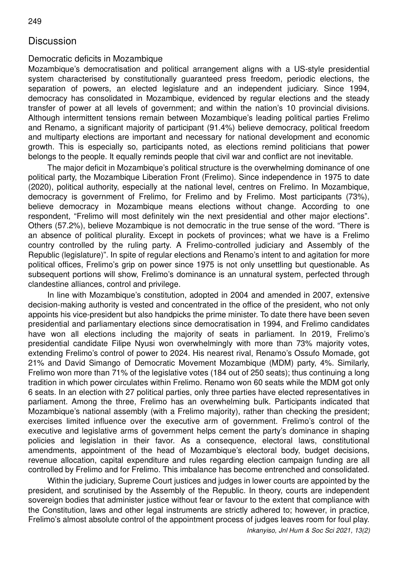## **Discussion**

#### Democratic deficits in Mozambique

Mozambique's democratisation and political arrangement aligns with a US-style presidential system characterised by constitutionally guaranteed press freedom, periodic elections, the separation of powers, an elected legislature and an independent judiciary. Since 1994, democracy has consolidated in Mozambique, evidenced by regular elections and the steady transfer of power at all levels of government; and within the nation's 10 provincial divisions. Although intermittent tensions remain between Mozambique's leading political parties Frelimo and Renamo, a significant majority of participant (91.4%) believe democracy, political freedom and multiparty elections are important and necessary for national development and economic growth. This is especially so, participants noted, as elections remind politicians that power belongs to the people. It equally reminds people that civil war and conflict are not inevitable.

The major deficit in Mozambique's political structure is the overwhelming dominance of one political party, the Mozambique Liberation Front (Frelimo). Since independence in 1975 to date (2020), political authority, especially at the national level, centres on Frelimo. In Mozambique, democracy is government of Frelimo, for Frelimo and by Frelimo. Most participants (73%), believe democracy in Mozambique means elections without change. According to one respondent, "Frelimo will most definitely win the next presidential and other major elections". Others (57.2%), believe Mozambique is not democratic in the true sense of the word. "There is an absence of political plurality. Except in pockets of provinces; what we have is a Frelimo country controlled by the ruling party. A Frelimo-controlled judiciary and Assembly of the Republic (legislature)". In spite of regular elections and Renamo's intent to and agitation for more political offices, Frelimo's grip on power since 1975 is not only unsettling but questionable. As subsequent portions will show, Frelimo's dominance is an unnatural system, perfected through clandestine alliances, control and privilege.

In line with Mozambique's constitution, adopted in 2004 and amended in 2007, extensive decision-making authority is vested and concentrated in the office of the president, who not only appoints his vice-president but also handpicks the prime minister. To date there have been seven presidential and parliamentary elections since democratisation in 1994, and Frelimo candidates have won all elections including the majority of seats in parliament. In 2019, Frelimo's presidential candidate Filipe Nyusi won overwhelmingly with more than 73% majority votes, extending Frelimo's control of power to 2024. His nearest rival, Renamo's Ossufo Momade, got 21% and David Simango of Democratic Movement Mozambique (MDM) party, 4%. Similarly, Frelimo won more than 71% of the legislative votes (184 out of 250 seats); thus continuing a long tradition in which power circulates within Frelimo. Renamo won 60 seats while the MDM got only 6 seats. In an election with 27 political parties, only three parties have elected representatives in parliament. Among the three, Frelimo has an overwhelming bulk. Participants indicated that Mozambique's national assembly (with a Frelimo majority), rather than checking the president; exercises limited influence over the executive arm of government. Frelimo's control of the executive and legislative arms of government helps cement the party's dominance in shaping policies and legislation in their favor. As a consequence, electoral laws, constitutional amendments, appointment of the head of Mozambique's electoral body, budget decisions, revenue allocation, capital expenditure and rules regarding election campaign funding are all controlled by Frelimo and for Frelimo. This imbalance has become entrenched and consolidated.

Within the judiciary, Supreme Court justices and judges in lower courts are appointed by the president, and scrutinised by the Assembly of the Republic. In theory, courts are independent sovereign bodies that administer justice without fear or favour to the extent that compliance with the Constitution, laws and other legal instruments are strictly adhered to; however, in practice, Frelimo's almost absolute control of the appointment process of judges leaves room for foul play.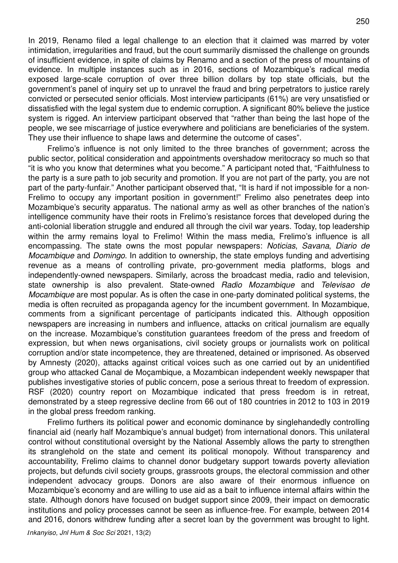In 2019, Renamo filed a legal challenge to an election that it claimed was marred by voter intimidation, irregularities and fraud, but the court summarily dismissed the challenge on grounds of insufficient evidence, in spite of claims by Renamo and a section of the press of mountains of evidence. In multiple instances such as in 2016, sections of Mozambique's radical media exposed large-scale corruption of over three billion dollars by top state officials, but the government's panel of inquiry set up to unravel the fraud and bring perpetrators to justice rarely convicted or persecuted senior officials. Most interview participants (61%) are very unsatisfied or dissatisfied with the legal system due to endemic corruption. A significant 80% believe the justice system is rigged. An interview participant observed that "rather than being the last hope of the people, we see miscarriage of justice everywhere and politicians are beneficiaries of the system. They use their influence to shape laws and determine the outcome of cases".

Frelimo's influence is not only limited to the three branches of government; across the public sector, political consideration and appointments overshadow meritocracy so much so that "it is who you know that determines what you become." A participant noted that, "Faithfulness to the party is a sure path to job security and promotion. If you are not part of the party, you are not part of the party-funfair." Another participant observed that, "It is hard if not impossible for a non-Frelimo to occupy any important position in government!" Frelimo also penetrates deep into Mozambique's security apparatus. The national army as well as other branches of the nation's intelligence community have their roots in Frelimo's resistance forces that developed during the anti-colonial liberation struggle and endured all through the civil war years. Today, top leadership within the army remains loyal to Frelimo! Within the mass media, Frelimo's influence is all encompassing. The state owns the most popular newspapers: *Noticias*, *Savana*, *Diario de Mocambique* and *Domingo*. In addition to ownership, the state employs funding and advertising revenue as a means of controlling private, pro-government media platforms, blogs and independently-owned newspapers. Similarly, across the broadcast media, radio and television, state ownership is also prevalent. State-owned *Radio Mozambique* and *Televisao de Mocambique* are most popular. As is often the case in one-party dominated political systems, the media is often recruited as propaganda agency for the incumbent government. In Mozambique, comments from a significant percentage of participants indicated this. Although opposition newspapers are increasing in numbers and influence, attacks on critical journalism are equally on the increase. Mozambique's constitution guarantees freedom of the press and freedom of expression, but when news organisations, civil society groups or journalists work on political corruption and/or state incompetence, they are threatened, detained or imprisoned. As observed by Amnesty (2020), attacks against critical voices such as one carried out by an unidentified group who attacked Canal de Moçambique, a Mozambican independent weekly newspaper that publishes investigative stories of public concern, pose a serious threat to freedom of expression. RSF (2020) country report on Mozambique indicated that press freedom is in retreat, demonstrated by a steep regressive decline from 66 out of 180 countries in 2012 to 103 in 2019 in the global press freedom ranking.

Frelimo furthers its political power and economic dominance by singlehandedly controlling financial aid (nearly half Mozambique's annual budget) from international donors. This unilateral control without constitutional oversight by the National Assembly allows the party to strengthen its stranglehold on the state and cement its political monopoly. Without transparency and accountability, Frelimo claims to channel donor budgetary support towards poverty alleviation projects, but defunds civil society groups, grassroots groups, the electoral commission and other independent advocacy groups. Donors are also aware of their enormous influence on Mozambique's economy and are willing to use aid as a bait to influence internal affairs within the state. Although donors have focused on budget support since 2009, their impact on democratic institutions and policy processes cannot be seen as influence-free. For example, between 2014 and 2016, donors withdrew funding after a secret loan by the government was brought to light.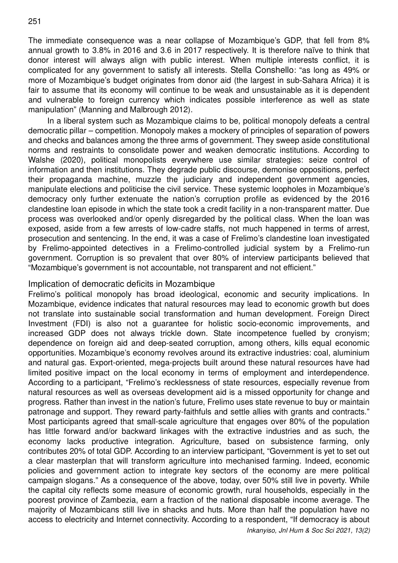The immediate consequence was a near collapse of Mozambique's GDP, that fell from 8% annual growth to 3.8% in 2016 and 3.6 in 2017 respectively. It is therefore naïve to think that donor interest will always align with public interest. When multiple interests conflict, it is complicated for any government to satisfy all interests. Stella Conshello: "as long as 49% or more of Mozambique's budget originates from donor aid (the largest in sub-Sahara Africa) it is fair to assume that its economy will continue to be weak and unsustainable as it is dependent and vulnerable to foreign currency which indicates possible interference as well as state manipulation" (Manning and Malbrough 2012).

In a liberal system such as Mozambique claims to be, political monopoly defeats a central democratic pillar – competition. Monopoly makes a mockery of principles of separation of powers and checks and balances among the three arms of government. They sweep aside constitutional norms and restraints to consolidate power and weaken democratic institutions. According to Walshe (2020), political monopolists everywhere use similar strategies: seize control of information and then institutions. They degrade public discourse, demonise oppositions, perfect their propaganda machine, muzzle the judiciary and independent government agencies, manipulate elections and politicise the civil service. These systemic loopholes in Mozambique's democracy only further extenuate the nation's corruption profile as evidenced by the 2016 clandestine loan episode in which the state took a credit facility in a non-transparent matter. Due process was overlooked and/or openly disregarded by the political class. When the loan was exposed, aside from a few arrests of low-cadre staffs, not much happened in terms of arrest, prosecution and sentencing. In the end, it was a case of Frelimo's clandestine loan investigated by Frelimo-appointed detectives in a Frelimo-controlled judicial system by a Frelimo-run government. Corruption is so prevalent that over 80% of interview participants believed that "Mozambique's government is not accountable, not transparent and not efficient."

#### Implication of democratic deficits in Mozambique

Frelimo's political monopoly has broad ideological, economic and security implications. In Mozambique, evidence indicates that natural resources may lead to economic growth but does not translate into sustainable social transformation and human development. Foreign Direct Investment (FDI) is also not a guarantee for holistic socio-economic improvements, and increased GDP does not always trickle down. State incompetence fuelled by cronyism; dependence on foreign aid and deep-seated corruption, among others, kills equal economic opportunities. Mozambique's economy revolves around its extractive industries: coal, aluminium and natural gas. Export-oriented, mega-projects built around these natural resources have had limited positive impact on the local economy in terms of employment and interdependence. According to a participant, "Frelimo's recklessness of state resources, especially revenue from natural resources as well as overseas development aid is a missed opportunity for change and progress. Rather than invest in the nation's future, Frelimo uses state revenue to buy or maintain patronage and support. They reward party-faithfuls and settle allies with grants and contracts." Most participants agreed that small-scale agriculture that engages over 80% of the population has little forward and/or backward linkages with the extractive industries and as such, the economy lacks productive integration. Agriculture, based on subsistence farming, only contributes 20% of total GDP. According to an interview participant, "Government is yet to set out a clear masterplan that will transform agriculture into mechanised farming. Indeed, economic policies and government action to integrate key sectors of the economy are mere political campaign slogans." As a consequence of the above, today, over 50% still live in poverty. While the capital city reflects some measure of economic growth, rural households, especially in the poorest province of Zambezia, earn a fraction of the national disposable income average. The majority of Mozambicans still live in shacks and huts. More than half the population have no access to electricity and Internet connectivity. According to a respondent, "If democracy is about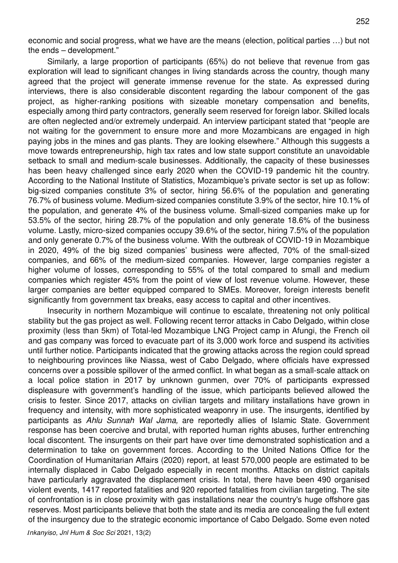economic and social progress, what we have are the means (election, political parties …) but not the ends – development."

Similarly, a large proportion of participants (65%) do not believe that revenue from gas exploration will lead to significant changes in living standards across the country, though many agreed that the project will generate immense revenue for the state. As expressed during interviews, there is also considerable discontent regarding the labour component of the gas project, as higher-ranking positions with sizeable monetary compensation and benefits, especially among third party contractors, generally seem reserved for foreign labor. Skilled locals are often neglected and/or extremely underpaid. An interview participant stated that "people are not waiting for the government to ensure more and more Mozambicans are engaged in high paying jobs in the mines and gas plants. They are looking elsewhere." Although this suggests a move towards entrepreneurship, high tax rates and low state support constitute an unavoidable setback to small and medium-scale businesses. Additionally, the capacity of these businesses has been heavy challenged since early 2020 when the COVID-19 pandemic hit the country. According to the National Institute of Statistics, Mozambique's private sector is set up as follow: big-sized companies constitute 3% of sector, hiring 56.6% of the population and generating 76.7% of business volume. Medium-sized companies constitute 3.9% of the sector, hire 10.1% of the population, and generate 4% of the business volume. Small-sized companies make up for 53.5% of the sector, hiring 28.7% of the population and only generate 18.6% of the business volume. Lastly, micro-sized companies occupy 39.6% of the sector, hiring 7.5% of the population and only generate 0.7% of the business volume. With the outbreak of COVID-19 in Mozambique in 2020, 49% of the big sized companies' business were affected, 70% of the small-sized companies, and 66% of the medium-sized companies. However, large companies register a higher volume of losses, corresponding to 55% of the total compared to small and medium companies which register 45% from the point of view of lost revenue volume. However, these larger companies are better equipped compared to SMEs. Moreover, foreign interests benefit significantly from government tax breaks, easy access to capital and other incentives.

Insecurity in northern Mozambique will continue to escalate, threatening not only political stability but the gas project as well. Following recent terror attacks in Cabo Delgado, within close proximity (less than 5km) of Total-led Mozambique LNG Project camp in Afungi, the French oil and gas company was forced to evacuate part of its 3,000 work force and suspend its activities until further notice. Participants indicated that the growing attacks across the region could spread to neighbouring provinces like Niassa, west of Cabo Delgado, where officials have expressed concerns over a possible spillover of the armed conflict. In what began as a small-scale attack on a local police station in 2017 by unknown gunmen, over 70% of participants expressed displeasure with government's handling of the issue, which participants believed allowed the crisis to fester. Since 2017, attacks on civilian targets and military installations have grown in frequency and intensity, with more sophisticated weaponry in use. The insurgents, identified by participants as *Ahlu Sunnah Wal Jama,* are reportedly allies of Islamic State. Government response has been coercive and brutal, with reported human rights abuses, further entrenching local discontent. The insurgents on their part have over time demonstrated sophistication and a determination to take on government forces. According to the United Nations Office for the Coordination of Humanitarian Affairs (2020) report, at least 570,000 people are estimated to be internally displaced in Cabo Delgado especially in recent months. Attacks on district capitals have particularly aggravated the displacement crisis. In total, there have been 490 organised violent events, 1417 reported fatalities and 920 reported fatalities from civilian targeting. The site of confrontation is in close proximity with gas installations near the country's huge offshore gas reserves. Most participants believe that both the state and its media are concealing the full extent of the insurgency due to the strategic economic importance of Cabo Delgado. Some even noted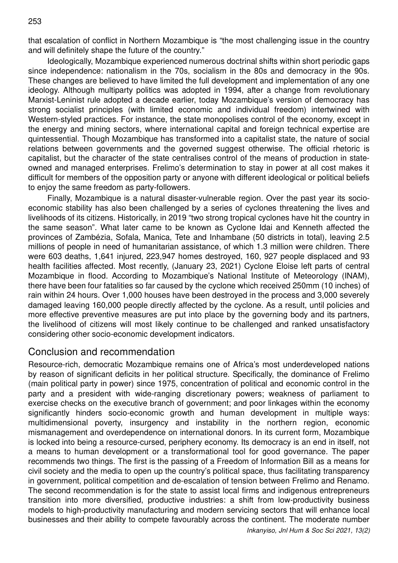that escalation of conflict in Northern Mozambique is "the most challenging issue in the country and will definitely shape the future of the country."

Ideologically, Mozambique experienced numerous doctrinal shifts within short periodic gaps since independence: nationalism in the 70s, socialism in the 80s and democracy in the 90s. These changes are believed to have limited the full development and implementation of any one ideology. Although multiparty politics was adopted in 1994, after a change from revolutionary Marxist-Leninist rule adopted a decade earlier, today Mozambique's version of democracy has strong socialist principles (with limited economic and individual freedom) intertwined with Western-styled practices. For instance, the state monopolises control of the economy, except in the energy and mining sectors, where international capital and foreign technical expertise are quintessential. Though Mozambique has transformed into a capitalist state, the nature of social relations between governments and the governed suggest otherwise. The official rhetoric is capitalist, but the character of the state centralises control of the means of production in stateowned and managed enterprises. Frelimo's determination to stay in power at all cost makes it difficult for members of the opposition party or anyone with different ideological or political beliefs to enjoy the same freedom as party-followers.

Finally, Mozambique is a natural disaster-vulnerable region. Over the past year its socioeconomic stability has also been challenged by a series of cyclones threatening the lives and livelihoods of its citizens. Historically, in 2019 "two strong tropical cyclones have hit the country in the same season". What later came to be known as Cyclone Idai and Kenneth affected the provinces of Zambézia, Sofala, Manica, Tete and Inhambane (50 districts in total), leaving 2.5 millions of people in need of humanitarian assistance, of which 1.3 million were children. There were 603 deaths, 1,641 injured, 223,947 homes destroyed, 160, 927 people displaced and 93 health facilities affected. Most recently, (January 23, 2021) Cyclone Eloise left parts of central Mozambique in flood. According to Mozambique's National Institute of Meteorology (INAM), there have been four fatalities so far caused by the cyclone which received 250mm (10 inches) of rain within 24 hours. Over 1,000 houses have been destroyed in the process and 3,000 severely damaged leaving 160,000 people directly affected by the cyclone. As a result, until policies and more effective preventive measures are put into place by the governing body and its partners, the livelihood of citizens will most likely continue to be challenged and ranked unsatisfactory considering other socio-economic development indicators.

### Conclusion and recommendation

Resource-rich, democratic Mozambique remains one of Africa's most underdeveloped nations by reason of significant deficits in her political structure. Specifically, the dominance of Frelimo (main political party in power) since 1975, concentration of political and economic control in the party and a president with wide-ranging discretionary powers; weakness of parliament to exercise checks on the executive branch of government; and poor linkages within the economy significantly hinders socio-economic growth and human development in multiple ways: multidimensional poverty, insurgency and instability in the northern region, economic mismanagement and overdependence on international donors. In its current form, Mozambique is locked into being a resource-cursed, periphery economy. Its democracy is an end in itself, not a means to human development or a transformational tool for good governance. The paper recommends two things. The first is the passing of a Freedom of Information Bill as a means for civil society and the media to open up the country's political space, thus facilitating transparency in government, political competition and de-escalation of tension between Frelimo and Renamo. The second recommendation is for the state to assist local firms and indigenous entrepreneurs transition into more diversified, productive industries: a shift from low-productivity business models to high-productivity manufacturing and modern servicing sectors that will enhance local businesses and their ability to compete favourably across the continent. The moderate number

*Inkanyiso, Jnl Hum & Soc Sci 2021, 13(2)*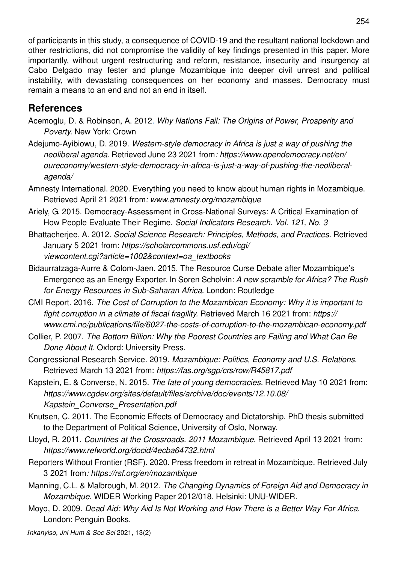of participants in this study, a consequence of COVID-19 and the resultant national lockdown and other restrictions, did not compromise the validity of key findings presented in this paper. More importantly, without urgent restructuring and reform, resistance, insecurity and insurgency at Cabo Delgado may fester and plunge Mozambique into deeper civil unrest and political instability, with devastating consequences on her economy and masses. Democracy must remain a means to an end and not an end in itself.

# **References**

- Acemoglu, D. & Robinson, A. 2012. *Why Nations Fail: The Origins of Power, Prosperity and Poverty*. New York: Crown
- Adejumo-Ayibiowu, D. 2019. *Western-style democracy in Africa is just a way of pushing the neoliberal agenda.* Retrieved June 23 2021 from*: https://www.opendemocracy.net/en/ oureconomy/western-style-democracy-in-africa-is-just-a-way-of-pushing-the-neoliberalagenda/*
- Amnesty International. 2020. Everything you need to know about human rights in Mozambique. Retrieved April 21 2021 from*: www.amnesty.org/mozambique*
- Ariely, G. 2015. Democracy-Assessment in Cross-National Surveys: A Critical Examination of How People Evaluate Their Regime. *Social Indicators Research. Vol. 121, No. 3*
- Bhattacherjee, A. 2012. *Social Science Research: Principles, Methods, and Practices.* Retrieved January 5 2021 from: *https://scholarcommons.usf.edu/cgi/ viewcontent.cgi?article=1002&context=oa\_textbooks*
- Bidaurratzaga-Aurre & Colom-Jaen. 2015. The Resource Curse Debate after Mozambique's Emergence as an Energy Exporter. In Soren Scholvin: *A new scramble for Africa? The Rush for Energy Resources in Sub-Saharan Africa.* London: Routledge
- CMI Report. 2016. *The Cost of Corruption to the Mozambican Economy: Why it is important to fight corruption in a climate of fiscal fragility.* Retrieved March 16 2021 from: *https:// www.cmi.no/publications/file/6027-the-costs-of-corruption-to-the-mozambican-economy.pdf*
- Collier, P. 2007. *The Bottom Billion: Why the Poorest Countries are Failing and What Can Be Done About It.* Oxford: University Press.
- Congressional Research Service. 2019. *Mozambique: Politics, Economy and U.S. Relations*. Retrieved March 13 2021 from: *https://fas.org/sgp/crs/row/R45817.pdf*
- Kapstein, E. & Converse, N. 2015. *The fate of young democracies.* Retrieved May 10 2021 from: *https://www.cgdev.org/sites/default/files/archive/doc/events/12.10.08/ Kapstein\_Converse\_Presentation.pdf*
- Knutsen, C. 2011. The Economic Effects of Democracy and Dictatorship. PhD thesis submitted to the Department of Political Science, University of Oslo, Norway.
- Lloyd, R. 2011. *Countries at the Crossroads. 2011 Mozambique*. Retrieved April 13 2021 from: *https://www.refworld.org/docid/4ecba64732.html*
- Reporters Without Frontier (RSF). 2020. Press freedom in retreat in Mozambique. Retrieved July 3 2021 from*: https://rsf.org/en/mozambique*
- Manning, C.L. & Malbrough, M. 2012. *The Changing Dynamics of Foreign Aid and Democracy in Mozambique.* WIDER Working Paper 2012/018. Helsinki: UNU-WIDER.
- Moyo, D. 2009. *Dead Aid: Why Aid Is Not Working and How There is a Better Way For Africa.*  London: Penguin Books.